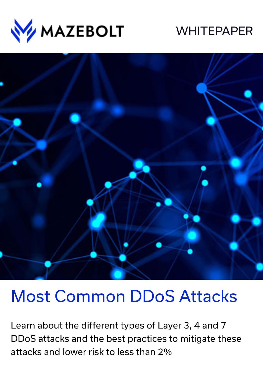

# **WHITEPAPER**



# **Most Common DDoS Attacks**

Learn about the different types of Layer 3, 4 and 7 DDoS attacks and the best practices to mitigate these attacks and lower risk to less than 2%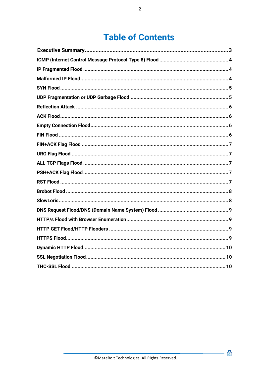# **Table of Contents**

 $\blacksquare$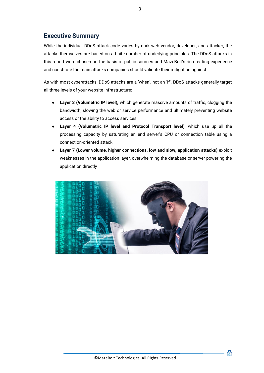## <span id="page-2-0"></span>**Executive Summary**

While the individual DDoS attack code varies by dark web vendor, developer, and attacker, the attacks themselves are based on a finite number of underlying principles. The DDoS attacks in this report were chosen on the basis of public sources and MazeBolt's rich testing experience and constitute the main attacks companies should validate their mitigation against.

As with most cyberattacks, DDoS attacks are a 'when', not an 'if'. DDoS attacks generally target all three levels of your website infrastructure:

- **Layer 3 (Volumetric IP level),** which generate massive amounts of traffic, clogging the bandwidth, slowing the web or service performance and ultimately preventing website access or the ability to access services
- **Layer 4 (Volumetric IP level and Protocol Transport level)**, which use up all the processing capacity by saturating an end server's CPU or connection table using a connection-oriented attack
- **Layer 7 (Lower volume, higher connections, low and slow, application attacks)** exploit weaknesses in the application layer, overwhelming the database or server powering the application directly

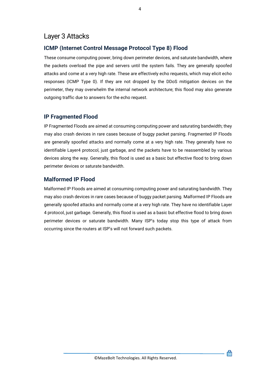# Layer 3 Attacks

#### <span id="page-3-0"></span>**ICMP (Internet Control Message Protocol Type 8) Flood**

These consume computing power, bring down perimeter devices, and saturate bandwidth, where the packets overload the pipe and servers until the system fails. They are generally spoofed attacks and come at a very high rate. These are effectively echo requests, which may elicit echo responses (ICMP Type 0). If they are not dropped by the DDoS mitigation devices on the perimeter, they may overwhelm the internal network architecture; this flood may also generate outgoing traffic due to answers for the echo request.

#### <span id="page-3-1"></span>**IP Fragmented Flood**

IP Fragmented Floods are aimed at consuming computing power and saturating bandwidth; they may also crash devices in rare cases because of buggy packet parsing. Fragmented IP Floods are generally spoofed attacks and normally come at a very high rate. They generally have no identifiable Layer4 protocol, just garbage, and the packets have to be reassembled by various devices along the way. Generally, this flood is used as a basic but effective flood to bring down perimeter devices or saturate bandwidth.

#### <span id="page-3-2"></span>**Malformed IP Flood**

Malformed IP Floods are aimed at consuming computing power and saturating bandwidth. They may also crash devices in rare cases because of buggy packet parsing. Malformed IP Floods are generally spoofed attacks and normally come at a very high rate. They have no identifiable Layer 4 protocol, just garbage. Generally, this flood is used as a basic but effective flood to bring down perimeter devices or saturate bandwidth. Many ISP's today stop this type of attack from occurring since the routers at ISP's will not forward such packets.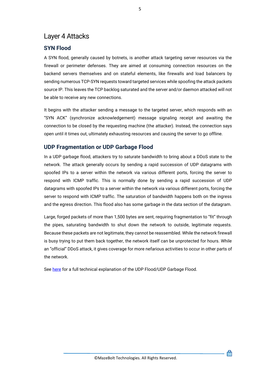# Layer 4 Attacks

## <span id="page-4-0"></span>**SYN Flood**

A SYN flood, generally caused by botnets, is another attack targeting server resources via the firewall or perimeter defenses. They are aimed at consuming connection resources on the backend servers themselves and on stateful elements, like firewalls and load balancers by sending numerous TCP-SYN requests toward targeted services while spoofing the attack packets source IP. This leaves the TCP backlog saturated and the server and/or daemon attacked will not be able to receive any new connections.

It begins with the attacker sending a message to the targeted server, which responds with an "SYN ACK" (synchronize acknowledgement) message signaling receipt and awaiting the connection to be closed by the requesting machine (the attacker). Instead, the connection says open until it times out, ultimately exhausting resources and causing the server to go offline.

## <span id="page-4-1"></span>**UDP Fragmentation or UDP Garbage Flood**

In a UDP garbage flood, attackers try to saturate bandwidth to bring about a DDoS state to the network. The attack generally occurs by sending a rapid succession of UDP datagrams with spoofed IPs to a server within the network via various different ports, forcing the server to respond with ICMP traffic. This is normally done by sending a rapid succession of UDP datagrams with spoofed IPs to a server within the network via various different ports, forcing the server to respond with ICMP traffic. The saturation of bandwidth happens both on the ingress and the egress direction. This flood also has some garbage in the data section of the datagram.

Large, forged packets of more than 1,500 bytes are sent, requiring fragmentation to "fit" through the pipes, saturating bandwidth to shut down the network to outside, legitimate requests. Because these packets are not legitimate, they cannot be reassembled. While the network firewall is busy trying to put them back together, the network itself can be unprotected for hours. While an "official" DDoS attack, it gives coverage for more nefarious activities to occur in other parts of the network.

See [here](https://kb.mazebolt.com/knowledgebase/udp-floodudp-garbage-flood/) for a full technical explanation of the UDP Flood/UDP Garbage Flood.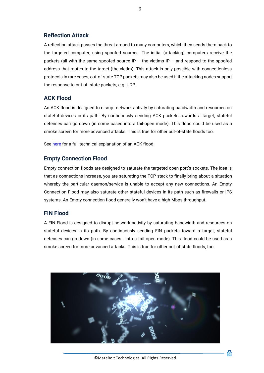#### <span id="page-5-0"></span>**Reflection Attack**

A reflection attack passes the threat around to many computers, which then sends them back to the targeted computer, using spoofed sources. The initial (attacking) computers receive the packets (all with the same spoofed source IP – the victims IP – and respond to the spoofed address that routes to the target (the victim). This attack is only possible with connectionless protocols In rare cases, out-of-state TCP packets may also be used if the attacking nodes support the response to out-of- state packets, e.g. UDP.

#### <span id="page-5-1"></span>**ACK Flood**

An ACK flood is designed to disrupt network activity by saturating bandwidth and resources on stateful devices in its path. By continuously sending ACK packets towards a target, stateful defenses can go down (in some cases into a fail-open mode). This flood could be used as a smoke screen for more advanced attacks. This is true for other out-of-state floods too.

See [here](https://kb.mazebolt.com/knowledgebase/ack-flood/) for a full technical explanation of an ACK flood.

#### <span id="page-5-2"></span>**Empty Connection Flood**

Empty connection floods are designed to saturate the targeted open port's sockets. The idea is that as connections increase, you are saturating the TCP stack to finally bring about a situation whereby the particular daemon/service is unable to accept any new connections. An Empty Connection Flood may also saturate other stateful devices in its path such as firewalls or IPS systems. An Empty connection flood generally won't have a high Mbps throughput.

#### <span id="page-5-3"></span>**FIN Flood**

A FIN Flood is designed to disrupt network activity by saturating bandwidth and resources on stateful devices in its path. By continuously sending FIN packets toward a target, stateful defenses can go down (in some cases - into a fail open mode). This flood could be used as a smoke screen for more advanced attacks. This is true for other out-of-state floods, too.



6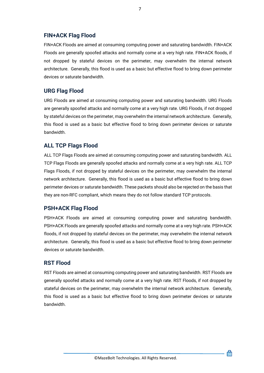#### <span id="page-6-0"></span>**FIN+ACK Flag Flood**

FIN+ACK Floods are aimed at consuming computing power and saturating bandwidth. FIN+ACK Floods are generally spoofed attacks and normally come at a very high rate. FIN+ACK floods, if not dropped by stateful devices on the perimeter, may overwhelm the internal network architecture. Generally, this flood is used as a basic but effective flood to bring down perimeter devices or saturate bandwidth.

#### <span id="page-6-1"></span>**URG Flag Flood**

URG Floods are aimed at consuming computing power and saturating bandwidth. URG Floods are generally spoofed attacks and normally come at a very high rate. URG Floods, if not dropped by stateful devices on the perimeter, may overwhelm the internal network architecture. Generally, this flood is used as a basic but effective flood to bring down perimeter devices or saturate bandwidth.

#### <span id="page-6-2"></span>**ALL TCP Flags Flood**

ALL TCP Flags Floods are aimed at consuming computing power and saturating bandwidth. ALL TCP Flags Floods are generally spoofed attacks and normally come at a very high rate. ALL TCP Flags Floods, if not dropped by stateful devices on the perimeter, may overwhelm the internal network architecture. Generally, this flood is used as a basic but effective flood to bring down perimeter devices or saturate bandwidth. These packets should also be rejected on the basis that they are non-RFC compliant, which means they do not follow standard TCP protocols.

#### <span id="page-6-3"></span>**PSH+ACK Flag Flood**

PSH+ACK Floods are aimed at consuming computing power and saturating bandwidth. PSH+ACK Floods are generally spoofed attacks and normally come at a very high rate. PSH+ACK floods, if not dropped by stateful devices on the perimeter, may overwhelm the internal network architecture. Generally, this flood is used as a basic but effective flood to bring down perimeter devices or saturate bandwidth.

#### <span id="page-6-4"></span>**RST Flood**

RST Floods are aimed at consuming computing power and saturating bandwidth. RST Floods are generally spoofed attacks and normally come at a very high rate. RST Floods, if not dropped by stateful devices on the perimeter, may overwhelm the internal network architecture. Generally, this flood is used as a basic but effective flood to bring down perimeter devices or saturate bandwidth.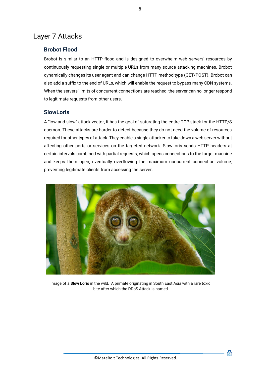# Layer 7 Attacks

#### <span id="page-7-0"></span>**Brobot Flood**

Brobot is similar to an HTTP flood and is designed to overwhelm web servers' resources by continuously requesting single or multiple URLs from many source attacking machines. Brobot dynamically changes its user agent and can change HTTP method type (GET/POST). Brobot can also add a suffix to the end of URLs, which will enable the request to bypass many CDN systems. When the servers' limits of concurrent connections are reached, the server can no longer respond to legitimate requests from other users.

#### <span id="page-7-1"></span>**SlowLoris**

A "low-and-slow" attack vector, it has the goal of saturating the entire TCP stack for the HTTP/S daemon. These attacks are harder to detect because they do not need the volume of resources required for other types of attack. They enable a single attacker to take down a web server without affecting other ports or services on the targeted network. SlowLoris sends HTTP headers at certain intervals combined with partial requests, which opens connections to the target machine and keeps them open, eventually overflowing the maximum concurrent connection volume, preventing legitimate clients from accessing the server.



Image of a **Slow Loris** in the wild. A primate originating in South East Asia with a rare toxic bite after which the DDoS Attack is named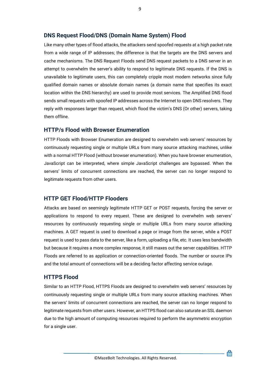#### <span id="page-8-0"></span>**DNS Request Flood/DNS (Domain Name System) Flood**

Like many other types of flood attacks, the attackers send spoofed requests at a high packet rate from a wide range of IP addresses; the difference is that the targets are the DNS servers and cache mechanisms. The DNS Request Floods send DNS request packets to a DNS server in an attempt to overwhelm the server's ability to respond to legitimate DNS requests. If the DNS is unavailable to legitimate users, this can completely cripple most modern networks since fully qualified domain names or absolute domain names (a domain name that specifies its exact location within the DNS hierarchy) are used to provide most services. The Amplified DNS flood sends small requests with spoofed IP addresses across the Internet to open DNS resolvers. They reply with responses larger than request, which flood the victim's DNS (Or other) servers, taking them offline.

#### <span id="page-8-1"></span>**HTTP/s Flood with Browser Enumeration**

HTTP Floods with Browser Enumeration are designed to overwhelm web servers' resources by continuously requesting single or multiple URLs from many source attacking machines, unlike with a normal HTTP Flood (without browser enumeration). When you have browser enumeration, JavaScript can be interpreted, where simple JavaScript challenges are bypassed. When the servers' limits of concurrent connections are reached, the server can no longer respond to legitimate requests from other users.

#### <span id="page-8-2"></span>**HTTP GET Flood/HTTP Flooders**

Attacks are based on seemingly legitimate HTTP GET or POST requests, forcing the server or applications to respond to every request. These are designed to overwhelm web servers' resources by continuously requesting single or multiple URLs from many source attacking machines. A GET request is used to download a page or image from the server, while a POST request is used to pass data to the server, like a form, uploading a file, etc. It uses less bandwidth but because it requires a more complex response, it still maxes out the server capabilities. HTTP Floods are referred to as application or connection-oriented floods. The number or source IPs and the total amount of connections will be a deciding factor affecting service outage.

#### <span id="page-8-3"></span>**HTTPS Flood**

Similar to an HTTP Flood, HTTPS Floods are designed to overwhelm web servers' resources by continuously requesting single or multiple URLs from many source attacking machines. When the servers' limits of concurrent connections are reached, the server can no longer respond to legitimate requests from other users. However, an HTTPS flood can also saturate an SSL daemon due to the high amount of computing resources required to perform the asymmetric encryption for a single user.

圇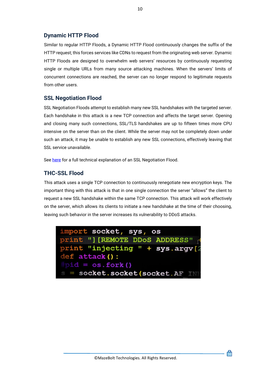#### <span id="page-9-0"></span>**Dynamic HTTP Flood**

Similar to regular HTTP Floods, a Dynamic HTTP Flood continuously changes the suffix of the HTTP request; this forces services like CDNs to request from the originating web server. Dynamic HTTP Floods are designed to overwhelm web servers' resources by continuously requesting single or multiple URLs from many source attacking machines. When the servers' limits of concurrent connections are reached, the server can no longer respond to legitimate requests from other users.

#### <span id="page-9-1"></span>**SSL Negotiation Flood**

SSL Negotiation Floods attempt to establish many new SSL handshakes with the targeted server. Each handshake in this attack is a new TCP connection and affects the target server. Opening and closing many such connections, SSL/TLS handshakes are up to fifteen times more CPU intensive on the server than on the client. While the server may not be completely down under such an attack, it may be unable to establish any new SSL connections, effectively leaving that SSL service unavailable.

See [here](https://kb.mazebolt.com/knowledgebase/ssl-negotiation-ssl-re-negotiation-attack) for a full technical explanation of an SSL Negotiation Flood.

#### <span id="page-9-2"></span>**THC-SSL Flood**

This attack uses a single TCP connection to continuously renegotiate new encryption keys. The important thing with this attack is that in one single connection the server "allows" the client to request a new SSL handshake within the same TCP connection. This attack will work effectively on the server, which allows its clients to initiate a new handshake at the time of their choosing, leaving such behavior in the server increases its vulnerability to DDoS attacks.